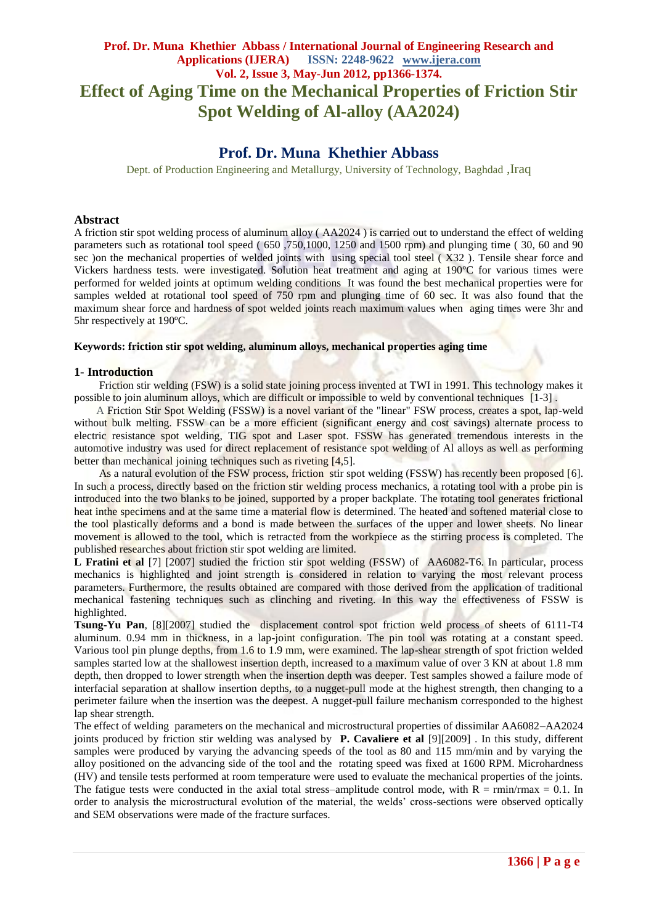# **Prof. Dr. Muna Khethier Abbass / International Journal of Engineering Research and Applications (IJERA) ISSN: 2248-9622 www.ijera.com Vol. 2, Issue 3, May-Jun 2012, pp1366-1374. Effect of Aging Time on the Mechanical Properties of Friction Stir Spot Welding of Al-alloy (AA2024)**

# **Prof. Dr. Muna Khethier Abbass**

Dept. of Production Engineering and Metallurgy, University of Technology, Baghdad ,Iraq

#### **Abstract**

A friction stir spot welding process of aluminum alloy ( AA2024 ) is carried out to understand the effect of welding parameters such as rotational tool speed ( 650 ,750,1000, 1250 and 1500 rpm) and plunging time ( 30, 60 and 90 sec ) on the mechanical properties of welded joints with using special tool steel (X32). Tensile shear force and Vickers hardness tests. were investigated. Solution heat treatment and aging at 190ºC for various times were performed for welded joints at optimum welding conditions It was found the best mechanical properties were for samples welded at rotational tool speed of 750 rpm and plunging time of 60 sec. It was also found that the maximum shear force and hardness of spot welded joints reach maximum values when aging times were 3hr and 5hr respectively at 190ºC.

#### **Keywords: friction stir spot welding, aluminum alloys, mechanical properties aging time**

#### **1- Introduction**

Friction stir welding (FSW) is a solid state joining process invented at TWI in 1991. This technology makes it possible to join aluminum alloys, which are difficult or impossible to weld by conventional techniques [1-3] .

 A Friction Stir Spot Welding (FSSW) is a novel variant of the "linear" FSW process, creates a spot, lap-weld without bulk melting. FSSW can be a more efficient (significant energy and cost savings) alternate process to electric resistance spot welding, TIG spot and Laser spot. FSSW has generated tremendous interests in the automotive industry was used for direct replacement of resistance spot welding of Al alloys as well as performing better than mechanical joining techniques such as riveting [4,5].

As a natural evolution of the FSW process, friction stir spot welding (FSSW) has recently been proposed [6]. In such a process, directly based on the friction stir welding process mechanics, a rotating tool with a probe pin is introduced into the two blanks to be joined, supported by a proper backplate. The rotating tool generates frictional heat inthe specimens and at the same time a material flow is determined. The heated and softened material close to the tool plastically deforms and a bond is made between the surfaces of the upper and lower sheets. No linear movement is allowed to the tool, which is retracted from the workpiece as the stirring process is completed. The published researches about friction stir spot welding are limited.

**L Fratini et al** [7] [2007] studied the friction stir spot welding (FSSW) of AA6082-T6. In particular, process mechanics is highlighted and joint strength is considered in relation to varying the most relevant process parameters. Furthermore, the results obtained are compared with those derived from the application of traditional mechanical fastening techniques such as clinching and riveting. In this way the effectiveness of FSSW is highlighted.

**Tsung-Yu Pan***,* [8][2007] studied the displacement control spot friction weld process of sheets of 6111-T4 aluminum. 0.94 mm in thickness, in a lap-joint configuration. The pin tool was rotating at a constant speed. Various tool pin plunge depths, from 1.6 to 1.9 mm, were examined. The lap-shear strength of spot friction welded samples started low at the shallowest insertion depth, increased to a maximum value of over 3 KN at about 1.8 mm depth, then dropped to lower strength when the insertion depth was deeper. Test samples showed a failure mode of interfacial separation at shallow insertion depths, to a nugget-pull mode at the highest strength, then changing to a perimeter failure when the insertion was the deepest. A nugget-pull failure mechanism corresponded to the highest lap shear strength.

The effect of welding parameters on the mechanical and microstructural properties of dissimilar AA6082–AA2024 joints produced by friction stir welding was analysed by **P. Cavaliere et al** [9][2009] . In this study, different samples were produced by varying the advancing speeds of the tool as 80 and 115 mm/min and by varying the alloy positioned on the advancing side of the tool and the rotating speed was fixed at 1600 RPM. Microhardness (HV) and tensile tests performed at room temperature were used to evaluate the mechanical properties of the joints. The fatigue tests were conducted in the axial total stress–amplitude control mode, with  $R = rmin/rmax = 0.1$ . In order to analysis the microstructural evolution of the material, the welds' cross-sections were observed optically and SEM observations were made of the fracture surfaces.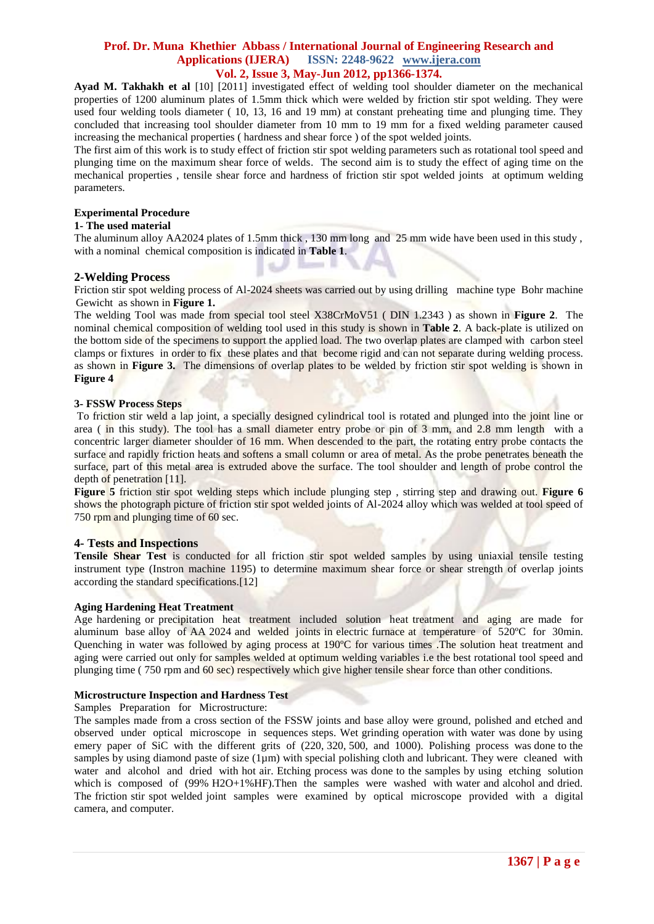**Ayad M. Takhakh et al** [10] [2011] investigated effect of welding tool shoulder diameter on the mechanical properties of 1200 aluminum plates of 1.5mm thick which were welded by friction stir spot welding. They were used four welding tools diameter ( 10, 13, 16 and 19 mm) at constant preheating time and plunging time. They concluded that increasing tool shoulder diameter from 10 mm to 19 mm for a fixed welding parameter caused increasing the mechanical properties ( hardness and shear force ) of the spot welded joints.

The first aim of this work is to study effect of friction stir spot welding parameters such as rotational tool speed and plunging time on the maximum shear force of welds. The second aim is to study the effect of aging time on the mechanical properties , tensile shear force and hardness of friction stir spot welded joints at optimum welding parameters.

# **Experimental Procedure**

## **1- The used material**

The aluminum alloy AA2024 plates of 1.5mm thick , 130 mm long and 25 mm wide have been used in this study , with a nominal chemical composition is indicated in **Table 1**.

## **2-Welding Process**

Friction stir spot welding process of Al-2024 sheets was carried out by using drilling machine type Bohr machine Gewicht as shown in **Figure 1.**

The welding Tool was made from special tool steel X38CrMoV51 ( DIN 1.2343 ) as shown in **Figure 2**. The nominal chemical composition of welding tool used in this study is shown in **Table 2**. A back-plate is utilized on the bottom side of the specimens to support the applied load. The two overlap plates are clamped with carbon steel clamps or fixtures in order to fix these plates and that become rigid and can not separate during welding process. as shown in **Figure 3.** The dimensions of overlap plates to be welded by friction stir spot welding is shown in **Figure 4** 

ł

## **3- FSSW Process Steps**

To friction stir weld a lap joint, a specially designed cylindrical tool is rotated and plunged into the joint line or area ( in this study). The tool has a small diameter entry probe or pin of 3 mm, and 2.8 mm length with a concentric larger diameter shoulder of 16 mm. When descended to the part, the rotating entry probe contacts the surface and rapidly friction heats and softens a small column or area of metal. As the probe penetrates beneath the surface, part of this metal area is extruded above the surface. The tool shoulder and length of probe control the depth of penetration [11].

**Figure 5** friction stir spot welding steps which include plunging step, stirring step and drawing out. **Figure 6** shows the photograph picture of friction stir spot welded joints of Al-2024 alloy which was welded at tool speed of 750 rpm and plunging time of 60 sec.

## **4- Tests and Inspections**

**Tensile Shear Test** is conducted for all friction stir spot welded samples by using uniaxial tensile testing instrument type (Instron machine 1195) to determine maximum shear force or shear strength of overlap joints according the standard specifications.[12]

## **Aging Hardening Heat Treatment**

Age hardening or precipitation heat treatment included solution heat treatment and aging are made for aluminum base alloy of AA 2024 and welded joints in electric furnace at temperature of 520ºC for 30min. Quenching in water was followed by aging process at 190ºC for various times .The solution heat treatment and aging were carried out only for samples welded at optimum welding variables i.e the best rotational tool speed and plunging time ( 750 rpm and 60 sec) respectively which give higher tensile shear force than other conditions.

## **Microstructure Inspection and Hardness Test**

Samples Preparation for Microstructure:

The samples made from a cross section of the FSSW joints and base alloy were ground, polished and etched and observed under optical microscope in sequences steps. Wet grinding operation with water was done by using emery paper of SiC with the different grits of (220, 320, 500, and 1000). Polishing process was done to the samples by using diamond paste of size  $(1\mu m)$  with special polishing cloth and lubricant. They were cleaned with water and alcohol and dried with hot air. Etching process was done to the samples by using etching solution which is composed of (99% H2O+1%HF). Then the samples were washed with water and alcohol and dried. The friction stir spot welded joint samples were examined by optical microscope provided with a digital camera, and computer.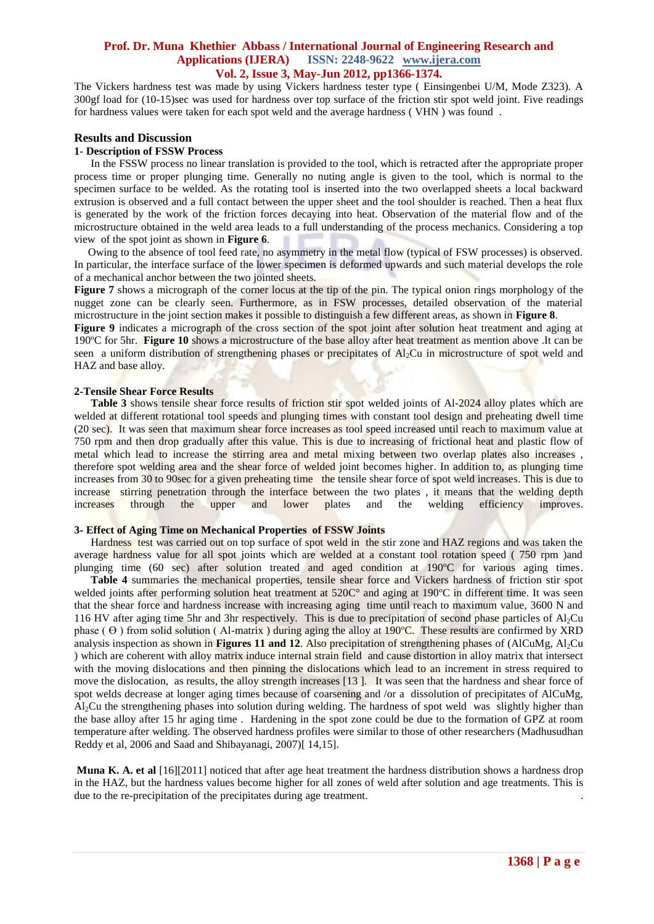The Vickers hardness test was made by using Vickers hardness tester type ( Einsingenbei U/M, Mode Z323). A 300gf load for (10-15)sec was used for hardness over top surface of the friction stir spot weld joint. Five readings for hardness values were taken for each spot weld and the average hardness ( VHN ) was found .

## **Results and Discussion**

#### **1- Description of FSSW Process**

 In the FSSW process no linear translation is provided to the tool, which is retracted after the appropriate proper process time or proper plunging time. Generally no nuting angle is given to the tool, which is normal to the specimen surface to be welded. As the rotating tool is inserted into the two overlapped sheets a local backward extrusion is observed and a full contact between the upper sheet and the tool shoulder is reached. Then a heat flux is generated by the work of the friction forces decaying into heat. Observation of the material flow and of the microstructure obtained in the weld area leads to a full understanding of the process mechanics. Considering a top view of the spot joint as shown in **Figure 6**.

 Owing to the absence of tool feed rate, no asymmetry in the metal flow (typical of FSW processes) is observed. In particular, the interface surface of the lower specimen is deformed upwards and such material develops the role of a mechanical anchor between the two jointed sheets.

**Figure 7** shows a micrograph of the corner locus at the tip of the pin. The typical onion rings morphology of the nugget zone can be clearly seen. Furthermore, as in FSW processes, detailed observation of the material microstructure in the joint section makes it possible to distinguish a few different areas, as shown in **Figure 8**.

**Figure 9** indicates a micrograph of the cross section of the spot joint after solution heat treatment and aging at 190ºC for 5hr. **Figure 10** shows a microstructure of the base alloy after heat treatment as mention above .It can be seen a uniform distribution of strengthening phases or precipitates of Al<sub>2</sub>Cu in microstructure of spot weld and HAZ and base alloy.

#### **2-Tensile Shear Force Results**

**Table 3** shows tensile shear force results of friction stir spot welded joints of Al-2024 alloy plates which are welded at different rotational tool speeds and plunging times with constant tool design and preheating dwell time (20 sec). It was seen that maximum shear force increases as tool speed increased until reach to maximum value at 750 rpm and then drop gradually after this value. This is due to increasing of frictional heat and plastic flow of metal which lead to increase the stirring area and metal mixing between two overlap plates also increases , therefore spot welding area and the shear force of welded joint becomes higher. In addition to, as plunging time increases from 30 to 90sec for a given preheating time the tensile shear force of spot weld increases. This is due to increase stirring penetration through the interface between the two plates , it means that the welding depth increases through the upper and lower plates and the welding efficiency improves.

#### **3- Effect of Aging Time on Mechanical Properties of FSSW Joints**

Hardness test was carried out on top surface of spot weld in the stir zone and HAZ regions and was taken the average hardness value for all spot joints which are welded at a constant tool rotation speed ( 750 rpm )and plunging time (60 sec) after solution treated and aged condition at 190°C for various aging times.

 **Table 4** summaries the mechanical properties, tensile shear force and Vickers hardness of friction stir spot welded joints after performing solution heat treatment at 520C° and aging at 190°C in different time. It was seen that the shear force and hardness increase with increasing aging time until reach to maximum value, 3600 N and 116 HV after aging time 5hr and 3hr respectively. This is due to precipitation of second phase particles of  $\text{Al}_2\text{Cu}$ phase  $(\Theta)$  from solid solution (Al-matrix) during aging the alloy at 190 $^{\circ}$ C. These results are confirmed by XRD analysis inspection as shown in **Figures 11 and 12**. Also precipitation of strengthening phases of (AlCuMg, Al2Cu ) which are coherent with alloy matrix induce internal strain field and cause distortion in alloy matrix that intersect with the moving dislocations and then pinning the dislocations which lead to an increment in stress required to move the dislocation, as results, the alloy strength increases [13 ]. It was seen that the hardness and shear force of spot welds decrease at longer aging times because of coarsening and /or a dissolution of precipitates of AlCuMg, Al2Cu the strengthening phases into solution during welding. The hardness of spot weld was slightly higher than the base alloy after 15 hr aging time . Hardening in the spot zone could be due to the formation of GPZ at room temperature after welding. The observed hardness profiles were similar to those of other researchers (Madhusudhan Reddy et al, 2006 and Saad and Shibayanagi, 2007)[ 14,15].

**Muna K. A. et al** [16][2011] noticed that after age heat treatment the hardness distribution shows a hardness drop in the HAZ, but the hardness values become higher for all zones of weld after solution and age treatments. This is due to the re-precipitation of the precipitates during age treatment.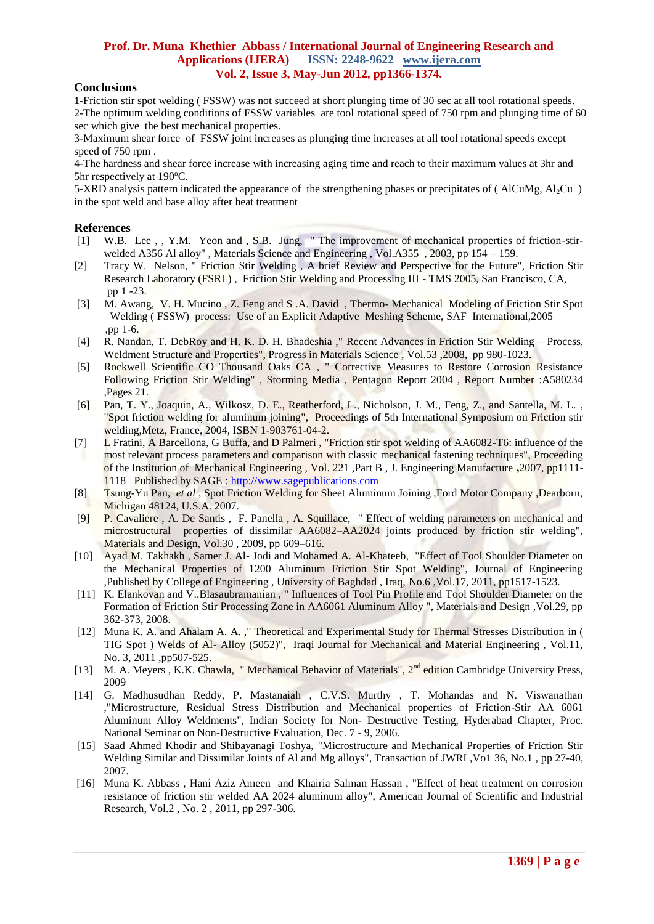# **Conclusions**

1-Friction stir spot welding ( FSSW) was not succeed at short plunging time of 30 sec at all tool rotational speeds. 2-The optimum welding conditions of FSSW variables are tool rotational speed of 750 rpm and plunging time of 60 sec which give the best mechanical properties.

3-Maximum shear force of FSSW joint increases as plunging time increases at all tool rotational speeds except speed of 750 rpm .

4-The hardness and shear force increase with increasing aging time and reach to their maximum values at 3hr and 5hr respectively at 190ºC.

5-XRD analysis pattern indicated the appearance of the strengthening phases or precipitates of (AlCuMg,  $Al_2Cu$ ) in the spot weld and base alloy after heat treatment

## **References**

- [1] W.B. Lee , , Y.M. Yeon and , S.B. Jung, " The improvement of mechanical properties of friction-stirwelded A356 Al alloy", Materials Science and Engineering, Vol.A355, 2003, pp 154 – 159.
- [2] Tracy W. Nelson, " Friction Stir Welding , A brief Review and Perspective for the Future", Friction Stir Research Laboratory (FSRL) , Friction Stir Welding and Processing III - TMS 2005, San Francisco, CA, pp 1 -23.
- [3]M. Awang, V. H. Mucino , Z. Feng and S .A. David , Thermo- Mechanical Modeling of Friction Stir Spot Welding ( FSSW) process: Use of an Explicit Adaptive Meshing Scheme, SAF International,2005 ,pp 1-6.
- [4] R. Nandan, T. DebRoy and H. K. D. H. Bhadeshia ," Recent Advances in Friction Stir Welding Process, Weldment Structure and Properties", Progress in Materials Science , Vol.53 ,2008, pp 980-1023.
- [5] [Rockwell Scientific CO Thousand Oaks](http://www.stormingmedia.us/corpauthors/ROCKWELL_SCIENTIFIC_CO_THOUSAND_OAKS_CA.html) CA , " Corrective Measures to Restore Corrosion Resistance Following Friction Stir Welding" , Storming Media , Pentagon Report 2004 , Report Number :A580234 ,Pages 21.
- [6] Pan, T. Y., Joaquin, A., Wilkosz, D. E., Reatherford, L., Nicholson, J. M., Feng, Z., and Santella, M. L. , "Spot friction welding for aluminum joining", Proceedings of 5th International Symposium on Friction stir welding,Metz, France, 2004, ISBN 1-903761-04-2.
- [7] L Fratini, A Barcellona, G Buffa, and D Palmeri, "Friction stir spot welding of AA6082-T6: influence of the most relevant process parameters and comparison with classic mechanical fastening techniques", Proceeding of the Institution of Mechanical Engineering , Vol. 221 ,Part B , J. Engineering Manufacture **,**2007, pp1111- 1118 Published by SAGE : http://www.sagepublications.com
- [8] Tsung-Yu Pan, *et al* , Spot Friction Welding for Sheet Aluminum Joining ,Ford Motor Company ,Dearborn, Michigan 48124, U.S.A. 2007.
- [9] P. Cavaliere , A. De Santis , F. Panella , A. Squillace, " Effect of welding parameters on mechanical and microstructural properties of dissimilar AA6082–AA2024 joints produced by friction stir welding", Materials and Design, Vol.30, 2009, pp 609–616.
- [10] Ayad M. Takhakh , Samer J. Al- Jodi and Mohamed A. Al-Khateeb, "Effect of Tool Shoulder Diameter on the Mechanical Properties of 1200 Aluminum Friction Stir Spot Welding", Journal of Engineering ,Published by College of Engineering , University of Baghdad , Iraq, No.6 ,Vol.17, 2011, pp1517-1523.
- [11] K. Elankovan and V..Blasaubramanian , " Influences of Tool Pin Profile and Tool Shoulder Diameter on the Formation of Friction Stir Processing Zone in AA6061 Aluminum Alloy ", Materials and Design ,Vol.29, pp 362-373, 2008.
- [12] Muna K. A. and Ahalam A. A.," Theoretical and Experimental Study for Thermal Stresses Distribution in ( TIG Spot ) Welds of Al- Alloy (5052)", Iraqi Journal for Mechanical and Material Engineering , Vol.11, No. 3, 2011 ,pp507-525.
- [13] M. A. Meyers, K.K. Chawla, " Mechanical Behavior of Materials", 2<sup>nd</sup> edition Cambridge University Press, 2009
- [14] G. Madhusudhan Reddy, P. Mastanaiah , C.V.S. Murthy , T. Mohandas and N. Viswanathan ,"Microstructure, Residual Stress Distribution and Mechanical properties of Friction-Stir AA 6061 Aluminum Alloy Weldments", Indian Society for Non- Destructive Testing, Hyderabad Chapter, Proc. National Seminar on Non-Destructive Evaluation, Dec. 7 - 9, 2006.
- [15] Saad Ahmed Khodir and Shibayanagi Toshya, "Microstructure and Mechanical Properties of Friction Stir Welding Similar and Dissimilar Joints of Al and Mg alloys", Transaction of JWRI ,Vo1 36, No.1 , pp 27-40, 2007.
- [16] Muna K. Abbass , Hani Aziz Ameen and Khairia Salman Hassan , "Effect of heat treatment on corrosion resistance of friction stir welded AA 2024 aluminum alloy", American Journal of Scientific and Industrial Research, Vol.2 , No. 2 , 2011, pp 297-306.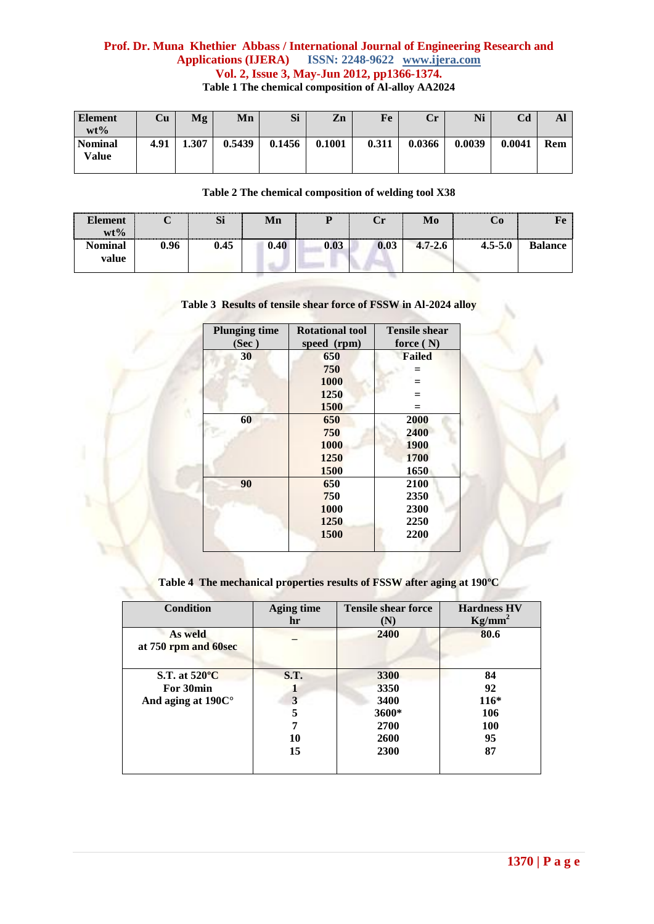## **Prof. Dr. Muna Khethier Abbass / International Journal of Engineering Research and Applications (IJERA) ISSN: 2248-9622 www.ijera.com Vol. 2, Issue 3, May-Jun 2012, pp1366-1374. Table 1 The chemical composition of Al-alloy AA2024**

| <b>Element</b><br>$wt\%$ | Cu   | Mg    | Mn     | Si     | Zn     | Fe    | $\mathbf{Cr}$ | Ni     | Cd     | Al  |
|--------------------------|------|-------|--------|--------|--------|-------|---------------|--------|--------|-----|
| <b>Nominal</b><br>Value  | 4.91 | 1.307 | 0.5439 | 0.1456 | 0.1001 | 0.311 | 0.0366        | 0.0039 | 0.0041 | Rem |

## **Table 2 The chemical composition of welding tool X38**

| lement<br>$wt\%$ |      | $\sim$<br>$\mathbf{M}$ | Мn   | .    | ેr   | Mo          | U0          | <br>------------------- |
|------------------|------|------------------------|------|------|------|-------------|-------------|-------------------------|
| Nominal<br>value | 0.96 | 0.45                   | 0.40 | 0.03 | 0.03 | $4.7 - 2.6$ | $4.5 - 5.0$ |                         |

**Table 3 Results of tensile shear force of FSSW in Al-2024 alloy**

| <b>Plunging time</b><br>(Sec) | <b>Rotational tool</b><br>speed (rpm) | <b>Tensile shear</b><br>force $(N)$ |  |
|-------------------------------|---------------------------------------|-------------------------------------|--|
| 30                            | 650                                   | <b>Failed</b>                       |  |
|                               | 750                                   |                                     |  |
|                               | 1000                                  |                                     |  |
|                               | 1250                                  |                                     |  |
|                               | 1500                                  | $=$                                 |  |
| 60                            | 650                                   | 2000                                |  |
|                               | 750                                   | 2400                                |  |
|                               | 1000                                  | <b>1900</b>                         |  |
|                               | 1250                                  | 1700                                |  |
|                               | 1500                                  | 1650                                |  |
| 90                            | 650                                   | 2100                                |  |
|                               | 750                                   | 2350                                |  |
|                               | 1000                                  | 2300                                |  |
|                               | 1250                                  | 2250                                |  |
|                               | 1500                                  | 2200                                |  |
|                               |                                       |                                     |  |

**Table 4 The mechanical properties results of FSSW after aging at 190ºC**

| Condition                       | <b>Aging time</b><br>hr | <b>Tensile shear force</b><br>(N) | <b>Hardness HV</b><br>$Kg/mm^2$ |
|---------------------------------|-------------------------|-----------------------------------|---------------------------------|
| As weld<br>at 750 rpm and 60sec |                         | 2400                              | 80.6                            |
| S.T. at $520^{\circ}$ C         | <b>S.T.</b>             | 3300                              | 84                              |
| For 30min                       |                         | 3350                              | 92                              |
| And aging at $190C^{\circ}$     | 3                       | 3400                              | $116*$                          |
|                                 | 5                       | 3600*                             | 106                             |
|                                 | 7                       | 2700                              | <b>100</b>                      |
|                                 | 10                      | 2600                              | 95                              |
|                                 | 15                      | 2300                              | 87                              |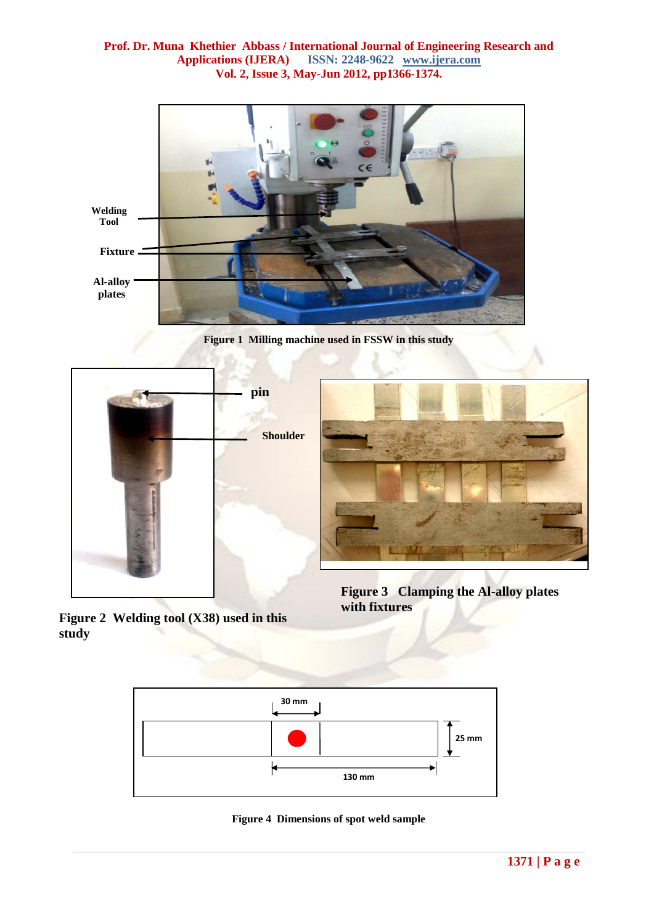

**Figure 1 Milling machine used in FSSW in this study**





**Figure 3 Clamping the Al-alloy plates with fixtures** 

**Figure 2 Welding tool (X38) used in this study** 



**Figure 4 Dimensions of spot weld sample**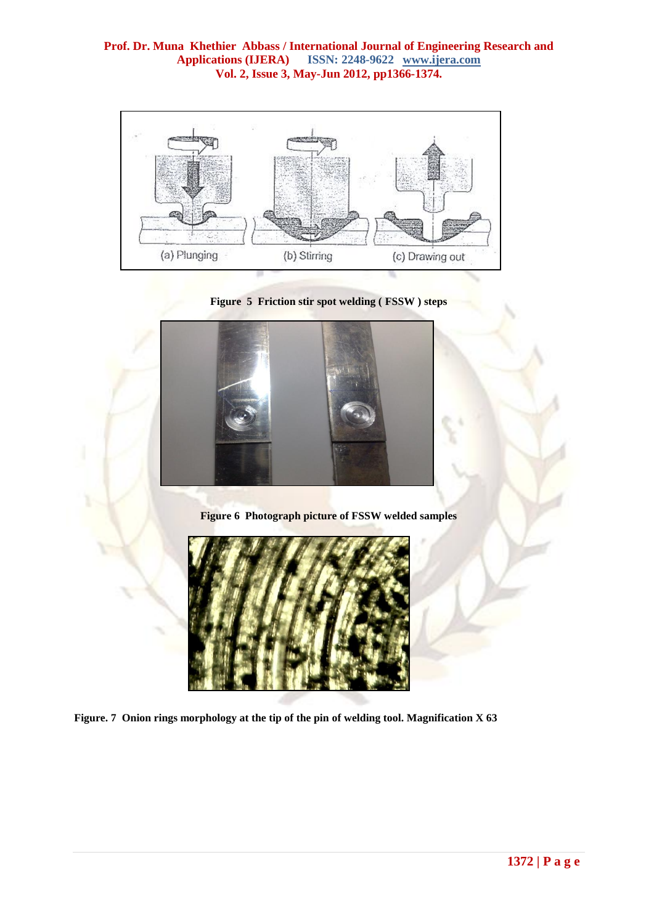





**Figure 6 Photograph picture of FSSW welded samples**



**Figure. 7 Onion rings morphology at the tip of the pin of welding tool. Magnification X 63**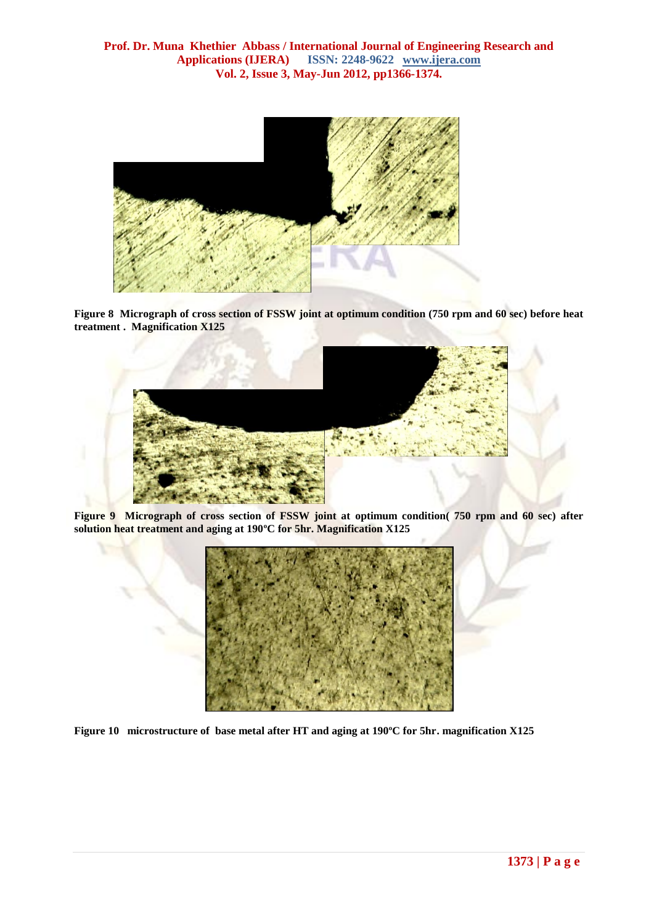

**Figure 8 Micrograph of cross section of FSSW joint at optimum condition (750 rpm and 60 sec) before heat treatment . Magnification X125**



**Figure 9 Micrograph of cross section of FSSW joint at optimum condition( 750 rpm and 60 sec) after solution heat treatment and aging at 190ºC for 5hr. Magnification X125**



**Figure 10 microstructure of base metal after HT and aging at 190ºC for 5hr. magnification X125**